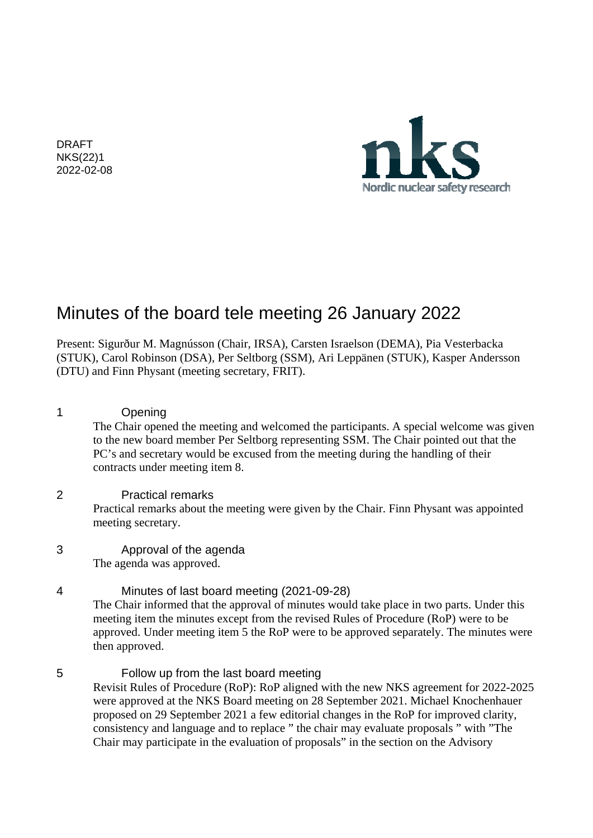DRAFT NKS(22)1 2022-02-08



# Minutes of the board tele meeting 26 January 2022

Present: Sigurður M. Magnússon (Chair, IRSA), Carsten Israelson (DEMA), Pia Vesterbacka (STUK), Carol Robinson (DSA), Per Seltborg (SSM), Ari Leppänen (STUK), Kasper Andersson (DTU) and Finn Physant (meeting secretary, FRIT).

#### 1 Opening

The Chair opened the meeting and welcomed the participants. A special welcome was given to the new board member Per Seltborg representing SSM. The Chair pointed out that the PC's and secretary would be excused from the meeting during the handling of their contracts under meeting item 8.

#### 2 Practical remarks

Practical remarks about the meeting were given by the Chair. Finn Physant was appointed meeting secretary.

#### 3 Approval of the agenda The agenda was approved.

4 Minutes of last board meeting (2021-09-28) The Chair informed that the approval of minutes would take place in two parts. Under this meeting item the minutes except from the revised Rules of Procedure (RoP) were to be approved. Under meeting item 5 the RoP were to be approved separately. The minutes were then approved.

5 Follow up from the last board meeting Revisit Rules of Procedure (RoP): RoP aligned with the new NKS agreement for 2022-2025 were approved at the NKS Board meeting on 28 September 2021. Michael Knochenhauer proposed on 29 September 2021 a few editorial changes in the RoP for improved clarity, consistency and language and to replace " the chair may evaluate proposals " with "The Chair may participate in the evaluation of proposals" in the section on the Advisory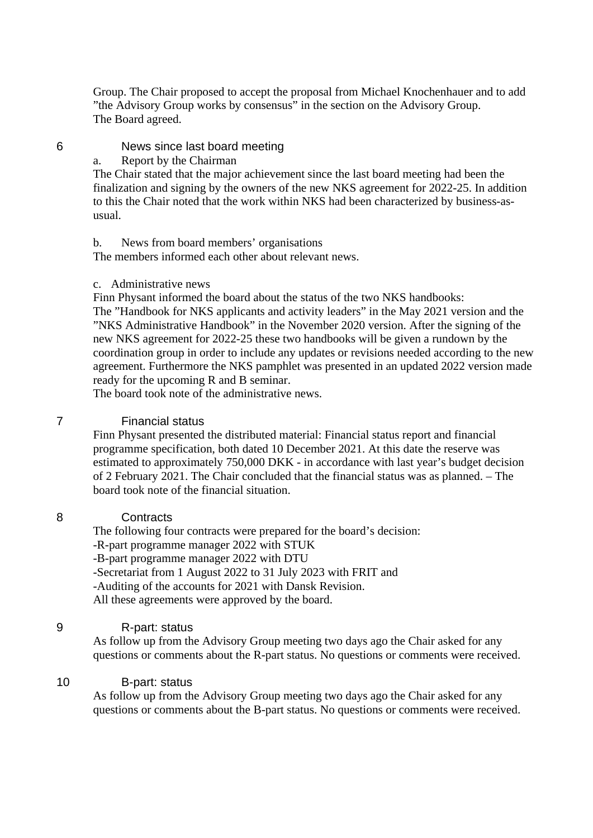Group. The Chair proposed to accept the proposal from Michael Knochenhauer and to add "the Advisory Group works by consensus" in the section on the Advisory Group. The Board agreed.

#### 6 News since last board meeting

#### a. Report by the Chairman

The Chair stated that the major achievement since the last board meeting had been the finalization and signing by the owners of the new NKS agreement for 2022-25. In addition to this the Chair noted that the work within NKS had been characterized by business-asusual.

#### b. News from board members' organisations

The members informed each other about relevant news.

#### c. Administrative news

Finn Physant informed the board about the status of the two NKS handbooks: The "Handbook for NKS applicants and activity leaders" in the May 2021 version and the "NKS Administrative Handbook" in the November 2020 version. After the signing of the new NKS agreement for 2022-25 these two handbooks will be given a rundown by the coordination group in order to include any updates or revisions needed according to the new agreement. Furthermore the NKS pamphlet was presented in an updated 2022 version made ready for the upcoming R and B seminar.

The board took note of the administrative news.

#### 7 Financial status

Finn Physant presented the distributed material: Financial status report and financial programme specification, both dated 10 December 2021. At this date the reserve was estimated to approximately 750,000 DKK - in accordance with last year's budget decision of 2 February 2021. The Chair concluded that the financial status was as planned. – The board took note of the financial situation.

#### 8 Contracts

The following four contracts were prepared for the board's decision: -R-part programme manager 2022 with STUK -B-part programme manager 2022 with DTU -Secretariat from 1 August 2022 to 31 July 2023 with FRIT and -Auditing of the accounts for 2021 with Dansk Revision. All these agreements were approved by the board.

#### 9 R-part: status

 As follow up from the Advisory Group meeting two days ago the Chair asked for any questions or comments about the R-part status. No questions or comments were received.

#### 10 B-part: status

As follow up from the Advisory Group meeting two days ago the Chair asked for any questions or comments about the B-part status. No questions or comments were received.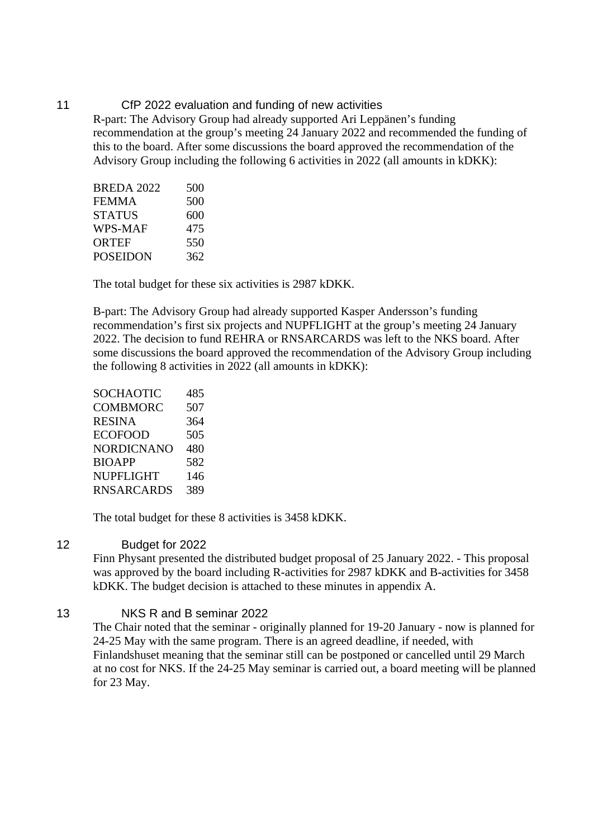11 CfP 2022 evaluation and funding of new activities R-part: The Advisory Group had already supported Ari Leppänen's funding recommendation at the group's meeting 24 January 2022 and recommended the funding of this to the board. After some discussions the board approved the recommendation of the Advisory Group including the following 6 activities in 2022 (all amounts in kDKK):

| 500 |
|-----|
| 500 |
| 600 |
| 475 |
| 550 |
| 362 |
|     |

The total budget for these six activities is 2987 kDKK.

B-part: The Advisory Group had already supported Kasper Andersson's funding recommendation's first six projects and NUPFLIGHT at the group's meeting 24 January 2022. The decision to fund REHRA or RNSARCARDS was left to the NKS board. After some discussions the board approved the recommendation of the Advisory Group including the following 8 activities in 2022 (all amounts in kDKK):

| SOCHAOTIC     | 485 |
|---------------|-----|
| COMBMORC      | 507 |
| RESINA        | 364 |
| ECOFOOD       | 505 |
| NORDICNANO    | 480 |
| <b>BIOAPP</b> | 582 |
| NUPFLIGHT     | 146 |
| RNSARCARDS    | 389 |

The total budget for these 8 activities is 3458 kDKK.

#### 12 Budget for 2022

Finn Physant presented the distributed budget proposal of 25 January 2022. - This proposal was approved by the board including R-activities for 2987 kDKK and B-activities for 3458 kDKK. The budget decision is attached to these minutes in appendix A.

#### 13 NKS R and B seminar 2022

The Chair noted that the seminar - originally planned for 19-20 January - now is planned for 24-25 May with the same program. There is an agreed deadline, if needed, with Finlandshuset meaning that the seminar still can be postponed or cancelled until 29 March at no cost for NKS. If the 24-25 May seminar is carried out, a board meeting will be planned for 23 May.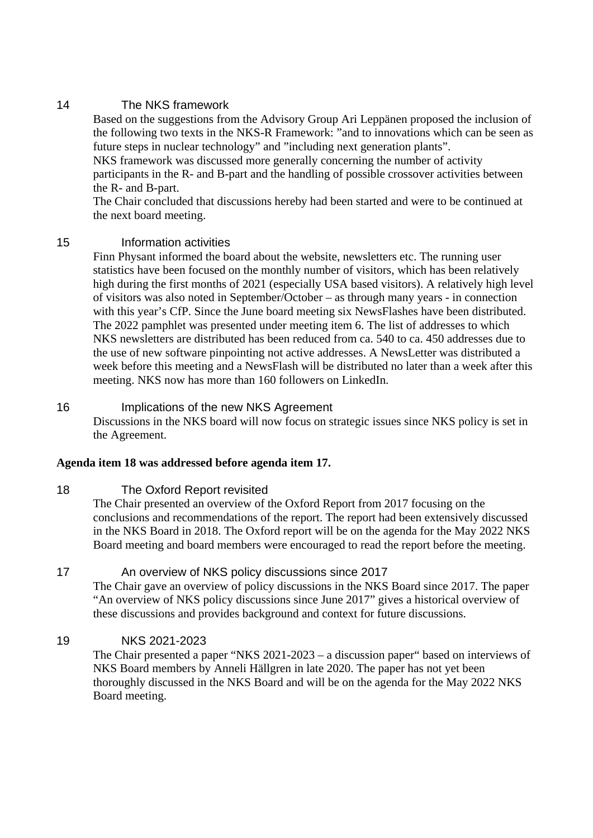#### 14 The NKS framework

Based on the suggestions from the Advisory Group Ari Leppänen proposed the inclusion of the following two texts in the NKS-R Framework: "and to innovations which can be seen as future steps in nuclear technology" and "including next generation plants".

NKS framework was discussed more generally concerning the number of activity participants in the R- and B-part and the handling of possible crossover activities between the R- and B-part.

The Chair concluded that discussions hereby had been started and were to be continued at the next board meeting.

#### 15 Information activities

Finn Physant informed the board about the website, newsletters etc. The running user statistics have been focused on the monthly number of visitors, which has been relatively high during the first months of 2021 (especially USA based visitors). A relatively high level of visitors was also noted in September/October – as through many years - in connection with this year's CfP. Since the June board meeting six NewsFlashes have been distributed. The 2022 pamphlet was presented under meeting item 6. The list of addresses to which NKS newsletters are distributed has been reduced from ca. 540 to ca. 450 addresses due to the use of new software pinpointing not active addresses. A NewsLetter was distributed a week before this meeting and a NewsFlash will be distributed no later than a week after this meeting. NKS now has more than 160 followers on LinkedIn.

#### 16 Implications of the new NKS Agreement

Discussions in the NKS board will now focus on strategic issues since NKS policy is set in the Agreement.

#### **Agenda item 18 was addressed before agenda item 17.**

#### 18 The Oxford Report revisited

The Chair presented an overview of the Oxford Report from 2017 focusing on the conclusions and recommendations of the report. The report had been extensively discussed in the NKS Board in 2018. The Oxford report will be on the agenda for the May 2022 NKS Board meeting and board members were encouraged to read the report before the meeting.

#### 17 **An overview of NKS policy discussions since 2017**

The Chair gave an overview of policy discussions in the NKS Board since 2017. The paper "An overview of NKS policy discussions since June 2017" gives a historical overview of these discussions and provides background and context for future discussions.

#### 19 NKS 2021-2023

The Chair presented a paper "NKS 2021-2023 – a discussion paper" based on interviews of NKS Board members by Anneli Hällgren in late 2020. The paper has not yet been thoroughly discussed in the NKS Board and will be on the agenda for the May 2022 NKS Board meeting.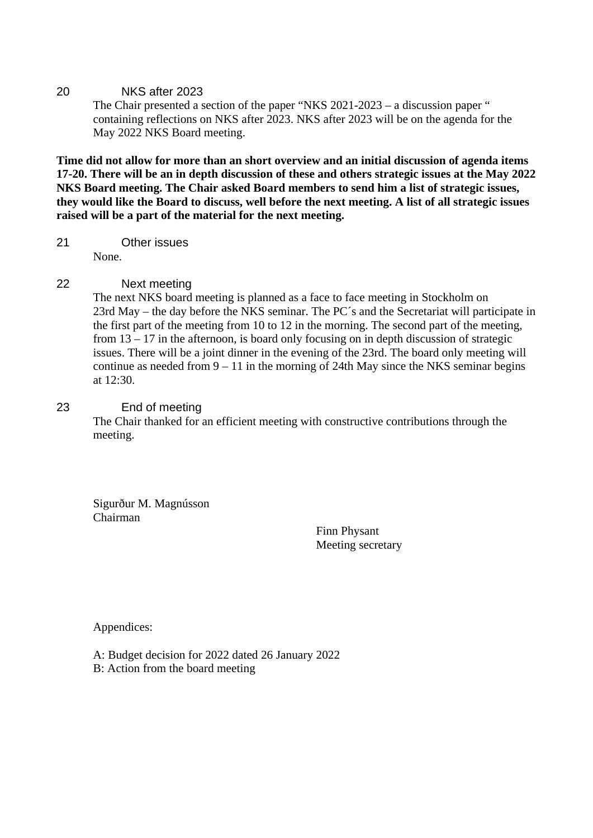#### 20 NKS after 2023

The Chair presented a section of the paper "NKS 2021-2023 – a discussion paper " containing reflections on NKS after 2023. NKS after 2023 will be on the agenda for the May 2022 NKS Board meeting.

**Time did not allow for more than an short overview and an initial discussion of agenda items 17-20. There will be an in depth discussion of these and others strategic issues at the May 2022 NKS Board meeting. The Chair asked Board members to send him a list of strategic issues, they would like the Board to discuss, well before the next meeting. A list of all strategic issues raised will be a part of the material for the next meeting.** 

21 Other issues

None.

#### 22 Next meeting

The next NKS board meeting is planned as a face to face meeting in Stockholm on 23rd May – the day before the NKS seminar. The PC´s and the Secretariat will participate in the first part of the meeting from 10 to 12 in the morning. The second part of the meeting, from 13 – 17 in the afternoon, is board only focusing on in depth discussion of strategic issues. There will be a joint dinner in the evening of the 23rd. The board only meeting will continue as needed from 9 – 11 in the morning of 24th May since the NKS seminar begins at 12:30.

#### 23 End of meeting

 The Chair thanked for an efficient meeting with constructive contributions through the meeting.

Sigurður M. Magnússon Chairman

Finn Physant Meeting secretary

Appendices:

A: Budget decision for 2022 dated 26 January 2022 B: Action from the board meeting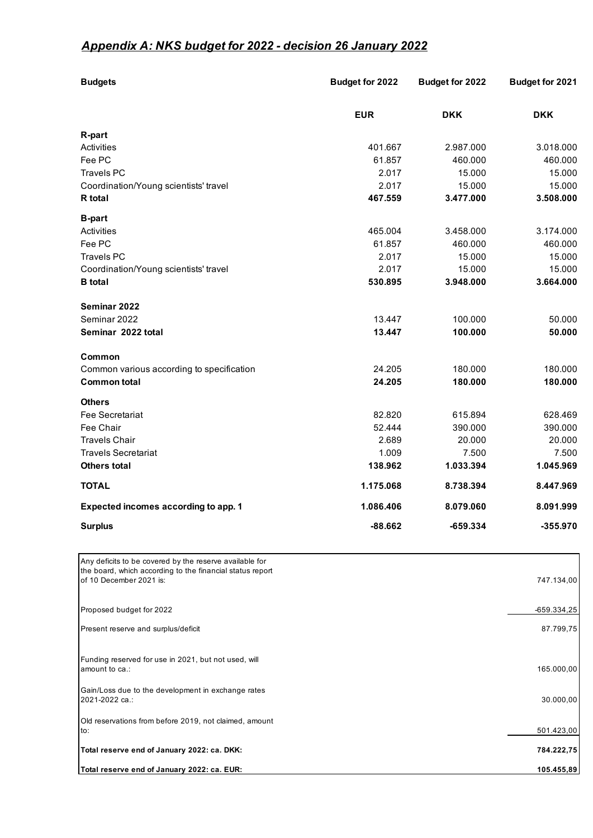# *Appendix A: NKS budget for 2022 - decision 26 January 2022*

| <b>Budgets</b>                                                                                                       | <b>Budget for 2022</b> | Budget for 2022 | Budget for 2021 |
|----------------------------------------------------------------------------------------------------------------------|------------------------|-----------------|-----------------|
|                                                                                                                      | <b>EUR</b>             | <b>DKK</b>      | <b>DKK</b>      |
| R-part                                                                                                               |                        |                 |                 |
| Activities                                                                                                           | 401.667                | 2.987.000       | 3.018.000       |
| Fee PC                                                                                                               | 61.857                 | 460.000         | 460.000         |
| <b>Travels PC</b>                                                                                                    | 2.017                  | 15.000          | 15.000          |
| Coordination/Young scientists' travel                                                                                | 2.017                  | 15.000          | 15.000          |
| R total                                                                                                              | 467.559                | 3.477.000       | 3.508.000       |
| <b>B-part</b>                                                                                                        |                        |                 |                 |
| Activities                                                                                                           | 465.004                | 3.458.000       | 3.174.000       |
| Fee PC                                                                                                               | 61.857                 | 460.000         | 460.000         |
| <b>Travels PC</b>                                                                                                    | 2.017                  | 15.000          | 15.000          |
| Coordination/Young scientists' travel                                                                                | 2.017                  | 15.000          | 15.000          |
| <b>B</b> total                                                                                                       | 530.895                | 3.948.000       | 3.664.000       |
| Seminar 2022                                                                                                         |                        |                 |                 |
| Seminar 2022                                                                                                         | 13.447                 | 100.000         | 50.000          |
| Seminar 2022 total                                                                                                   | 13.447                 | 100.000         | 50.000          |
| Common                                                                                                               |                        |                 |                 |
| Common various according to specification                                                                            | 24.205                 | 180.000         | 180.000         |
| <b>Common total</b>                                                                                                  | 24.205                 | 180.000         | 180.000         |
| <b>Others</b>                                                                                                        |                        |                 |                 |
| Fee Secretariat                                                                                                      | 82.820                 | 615.894         | 628.469         |
| Fee Chair                                                                                                            | 52.444                 | 390.000         | 390.000         |
| <b>Travels Chair</b>                                                                                                 | 2.689                  | 20.000          | 20.000          |
| <b>Travels Secretariat</b>                                                                                           | 1.009                  | 7.500           | 7.500           |
| <b>Others total</b>                                                                                                  | 138.962                | 1.033.394       | 1.045.969       |
| <b>TOTAL</b>                                                                                                         | 1.175.068              | 8.738.394       | 8.447.969       |
| Expected incomes according to app. 1                                                                                 | 1.086.406              | 8.079.060       | 8.091.999       |
| <b>Surplus</b>                                                                                                       | $-88.662$              | $-659.334$      | $-355.970$      |
| Any deficits to be covered by the reserve available for<br>the board, which according to the financial status report |                        |                 |                 |
| of 10 December 2021 is:                                                                                              |                        |                 | 747.134,00      |
| Proposed budget for 2022                                                                                             |                        |                 | -659.334,25     |
| Present reserve and surplus/deficit                                                                                  |                        |                 | 87.799,75       |
| Funding reserved for use in 2021, but not used, will<br>amount to ca.:                                               |                        |                 | 165.000,00      |
| Gain/Loss due to the development in exchange rates<br>2021-2022 ca.:                                                 |                        |                 | 30.000,00       |
| Old reservations from before 2019, not claimed, amount<br>to:                                                        |                        |                 | 501.423,00      |
| Total reserve end of January 2022: ca. DKK:                                                                          |                        |                 | 784.222,75      |
| Total reserve end of January 2022: ca. EUR:                                                                          |                        |                 | 105.455,89      |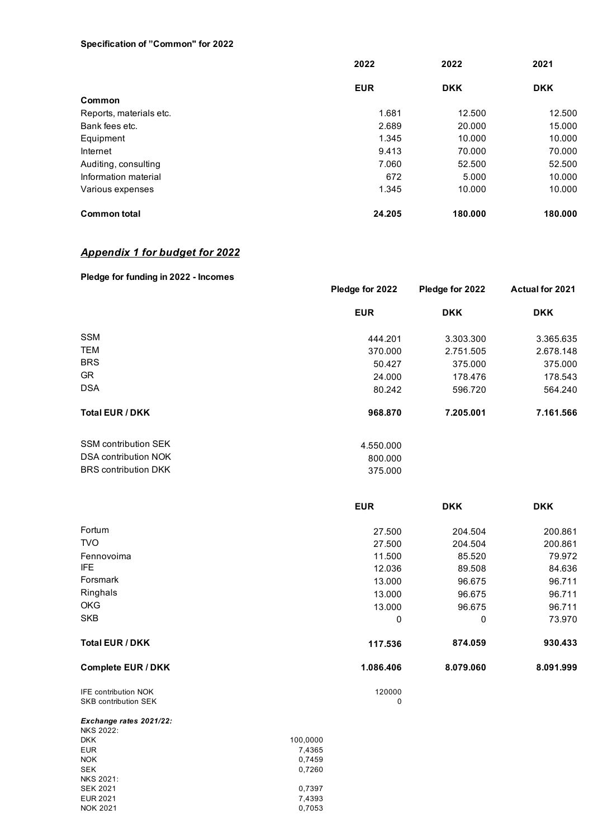#### **Specification of "Common" for 2022**

|                         | 2022       | 2022       | 2021       |
|-------------------------|------------|------------|------------|
|                         | <b>EUR</b> | <b>DKK</b> | <b>DKK</b> |
| Common                  |            |            |            |
| Reports, materials etc. | 1.681      | 12.500     | 12.500     |
| Bank fees etc.          | 2.689      | 20,000     | 15.000     |
| Equipment               | 1.345      | 10.000     | 10.000     |
| Internet                | 9.413      | 70.000     | 70.000     |
| Auditing, consulting    | 7.060      | 52.500     | 52.500     |
| Information material    | 672        | 5.000      | 10.000     |
| Various expenses        | 1.345      | 10.000     | 10.000     |
| <b>Common total</b>     | 24.205     | 180.000    | 180.000    |

## *Appendix 1 for budget for 2022*

NOK 2021

| Pledge for funding in 2022 - Incomes |                 |                 |                        |  |
|--------------------------------------|-----------------|-----------------|------------------------|--|
|                                      | Pledge for 2022 | Pledge for 2022 | <b>Actual for 2021</b> |  |
|                                      | <b>EUR</b>      | <b>DKK</b>      | <b>DKK</b>             |  |
| <b>SSM</b>                           | 444.201         | 3.303.300       | 3.365.635              |  |
| <b>TEM</b>                           | 370,000         | 2.751.505       | 2.678.148              |  |
| <b>BRS</b>                           | 50.427          | 375,000         | 375,000                |  |
| GR.                                  | 24.000          | 178.476         | 178.543                |  |
| <b>DSA</b>                           | 80.242          | 596.720         | 564.240                |  |
| <b>Total EUR / DKK</b>               | 968.870         | 7.205.001       | 7.161.566              |  |
| <b>SSM contribution SEK</b>          | 4.550.000       |                 |                        |  |
| DSA contribution NOK                 | 800.000         |                 |                        |  |
| <b>BRS</b> contribution DKK          | 375,000         |                 |                        |  |

|                             | <b>EUR</b> |           | <b>DKK</b> | <b>DKK</b> |
|-----------------------------|------------|-----------|------------|------------|
|                             |            |           |            |            |
| Fortum                      |            | 27.500    | 204.504    | 200.861    |
| <b>TVO</b>                  |            | 27.500    | 204.504    | 200.861    |
| Fennovoima                  |            | 11.500    | 85.520     | 79.972     |
| IFE                         |            | 12.036    | 89.508     | 84.636     |
| Forsmark                    |            | 13.000    | 96.675     | 96.711     |
| Ringhals                    |            | 13.000    | 96.675     | 96.711     |
| <b>OKG</b>                  |            | 13.000    | 96.675     | 96.711     |
| SKB                         |            | 0         | 0          | 73.970     |
| <b>Total EUR / DKK</b>      |            | 117.536   | 874.059    | 930.433    |
| <b>Complete EUR / DKK</b>   |            | 1.086.406 | 8.079.060  | 8.091.999  |
| <b>IFE contribution NOK</b> |            | 120000    |            |            |
| <b>SKB contribution SEK</b> |            | 0         |            |            |
| Exchange rates 2021/22:     |            |           |            |            |
| <b>NKS 2022:</b>            |            |           |            |            |
| <b>DKK</b>                  | 100,0000   |           |            |            |
| <b>EUR</b>                  | 7,4365     |           |            |            |
| <b>NOK</b>                  | 0,7459     |           |            |            |
| <b>SEK</b>                  | 0,7260     |           |            |            |
| <b>NKS 2021:</b>            |            |           |            |            |
| <b>SEK 2021</b>             | 0,7397     |           |            |            |

EUR 2021 7,4393<br>
NOK 2021 0,7053